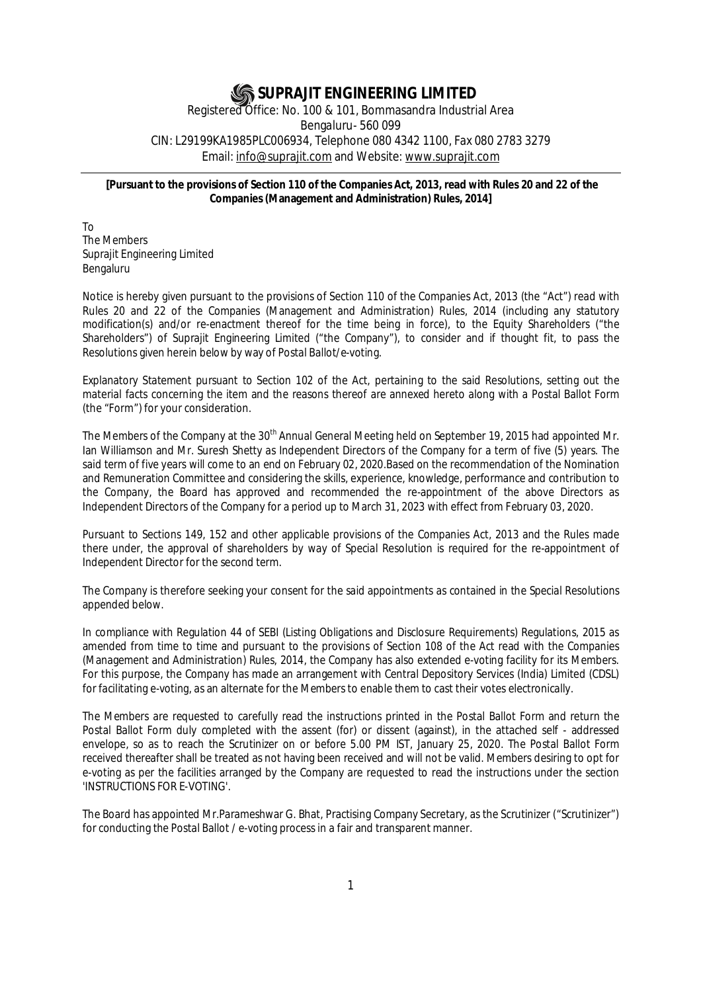# **SUPRAJIT ENGINEERING LIMITED**

Registered Office: No. 100 & 101, Bommasandra Industrial Area Bengaluru- 560 099 CIN: L29199KA1985PLC006934, Telephone 080 4342 1100, Fax 080 2783 3279 Email: info@suprajit.com and Website: www.suprajit.com

## **[Pursuant to the provisions of Section 110 of the Companies Act, 2013, read with Rules 20 and 22 of the Companies (Management and Administration) Rules, 2014]**

To The Members Suprajit Engineering Limited Bengaluru

Notice is hereby given pursuant to the provisions of Section 110 of the Companies Act, 2013 (the "Act") read with Rules 20 and 22 of the Companies (Management and Administration) Rules, 2014 (including any statutory modification(s) and/or re-enactment thereof for the time being in force), to the Equity Shareholders ("the Shareholders") of Suprajit Engineering Limited ("the Company"), to consider and if thought fit, to pass the Resolutions given herein below by way of Postal Ballot/e-voting.

Explanatory Statement pursuant to Section 102 of the Act, pertaining to the said Resolutions, setting out the material facts concerning the item and the reasons thereof are annexed hereto along with a Postal Ballot Form (the "Form") for your consideration.

The Members of the Company at the 30<sup>th</sup> Annual General Meeting held on September 19, 2015 had appointed Mr. Ian Williamson and Mr. Suresh Shetty as Independent Directors of the Company for a term of five (5) years. The said term of five years will come to an end on February 02, 2020.Based on the recommendation of the Nomination and Remuneration Committee and considering the skills, experience, knowledge, performance and contribution to the Company, the Board has approved and recommended the re-appointment of the above Directors as Independent Directors of the Company for a period up to March 31, 2023 with effect from February 03, 2020.

Pursuant to Sections 149, 152 and other applicable provisions of the Companies Act, 2013 and the Rules made there under, the approval of shareholders by way of Special Resolution is required for the re-appointment of Independent Director for the second term.

The Company is therefore seeking your consent for the said appointments as contained in the Special Resolutions appended below.

In compliance with Regulation 44 of SEBI (Listing Obligations and Disclosure Requirements) Regulations, 2015 as amended from time to time and pursuant to the provisions of Section 108 of the Act read with the Companies (Management and Administration) Rules, 2014, the Company has also extended e-voting facility for its Members. For this purpose, the Company has made an arrangement with Central Depository Services (India) Limited (CDSL) for facilitating e-voting, as an alternate for the Members to enable them to cast their votes electronically.

The Members are requested to carefully read the instructions printed in the Postal Ballot Form and return the Postal Ballot Form duly completed with the assent (for) or dissent (against), in the attached self - addressed envelope, so as to reach the Scrutinizer on or before 5.00 PM IST, January 25, 2020. The Postal Ballot Form received thereafter shall be treated as not having been received and will not be valid. Members desiring to opt for e-voting as per the facilities arranged by the Company are requested to read the instructions under the section 'INSTRUCTIONS FOR E-VOTING'.

The Board has appointed Mr.Parameshwar G. Bhat, Practising Company Secretary, as the Scrutinizer ("Scrutinizer") for conducting the Postal Ballot / e-voting process in a fair and transparent manner.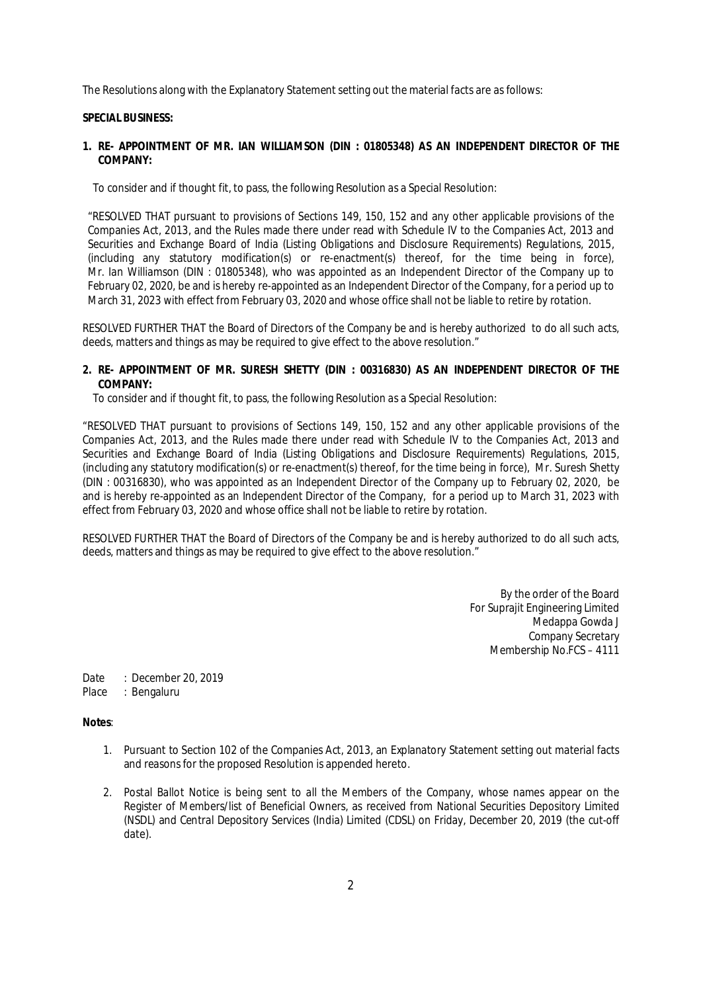The Resolutions along with the Explanatory Statement setting out the material facts are as follows:

#### **SPECIAL BUSINESS:**

### **1. RE- APPOINTMENT OF MR. IAN WILLIAMSON (DIN : 01805348) AS AN INDEPENDENT DIRECTOR OF THE COMPANY:**

To consider and if thought fit, to pass, the following Resolution as a Special Resolution:

"RESOLVED THAT pursuant to provisions of Sections 149, 150, 152 and any other applicable provisions of the Companies Act, 2013, and the Rules made there under read with Schedule IV to the Companies Act, 2013 and Securities and Exchange Board of India (Listing Obligations and Disclosure Requirements) Regulations, 2015, (including any statutory modification(s) or re-enactment(s) thereof, for the time being in force), Mr. Ian Williamson (DIN : 01805348), who was appointed as an Independent Director of the Company up to February 02, 2020, be and is hereby re-appointed as an Independent Director of the Company, for a period up to March 31, 2023 with effect from February 03, 2020 and whose office shall not be liable to retire by rotation.

RESOLVED FURTHER THAT the Board of Directors of the Company be and is hereby authorized to do all such acts, deeds, matters and things as may be required to give effect to the above resolution."

## **2. RE- APPOINTMENT OF MR. SURESH SHETTY (DIN : 00316830) AS AN INDEPENDENT DIRECTOR OF THE COMPANY:**

To consider and if thought fit, to pass, the following Resolution as a Special Resolution:

"RESOLVED THAT pursuant to provisions of Sections 149, 150, 152 and any other applicable provisions of the Companies Act, 2013, and the Rules made there under read with Schedule IV to the Companies Act, 2013 and Securities and Exchange Board of India (Listing Obligations and Disclosure Requirements) Regulations, 2015, (including any statutory modification(s) or re-enactment(s) thereof, for the time being in force), Mr. Suresh Shetty (DIN : 00316830), who was appointed as an Independent Director of the Company up to February 02, 2020, be and is hereby re-appointed as an Independent Director of the Company, for a period up to March 31, 2023 with effect from February 03, 2020 and whose office shall not be liable to retire by rotation.

RESOLVED FURTHER THAT the Board of Directors of the Company be and is hereby authorized to do all such acts, deeds, matters and things as may be required to give effect to the above resolution."

> By the order of the Board For Suprajit Engineering Limited Medappa Gowda J Company Secretary Membership No.FCS – 4111

Date : December 20, 2019

Place : Bengaluru

## **Notes**:

- 1. Pursuant to Section 102 of the Companies Act, 2013, an Explanatory Statement setting out material facts and reasons for the proposed Resolution is appended hereto.
- 2. Postal Ballot Notice is being sent to all the Members of the Company, whose names appear on the Register of Members/list of Beneficial Owners, as received from National Securities Depository Limited (NSDL) and Central Depository Services (India) Limited (CDSL) on Friday, December 20, 2019 (the cut-off date).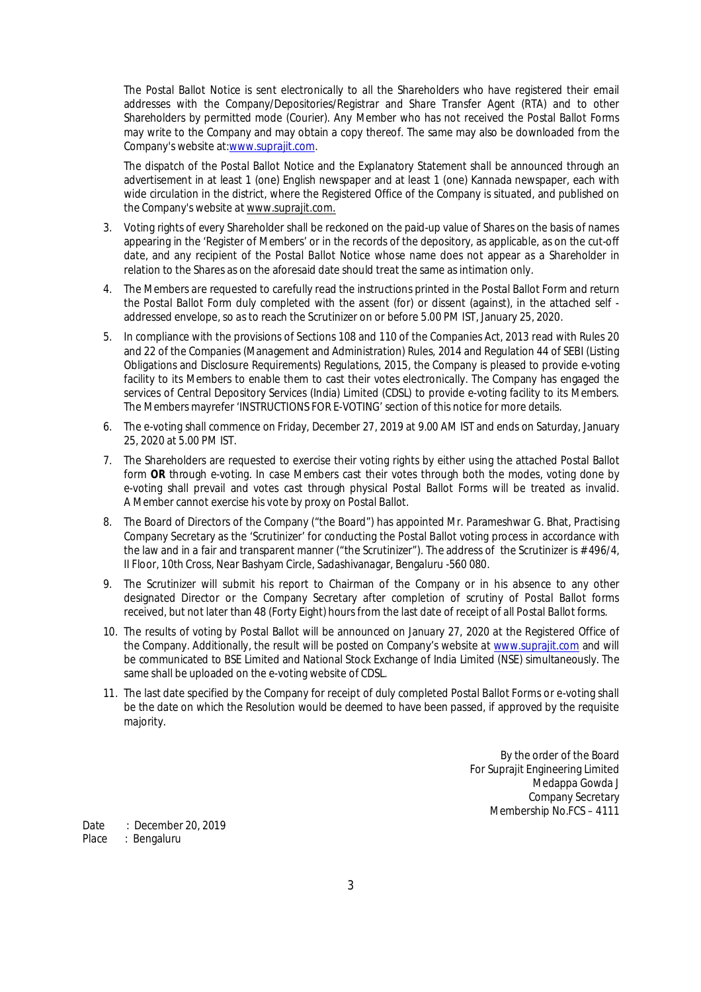The Postal Ballot Notice is sent electronically to all the Shareholders who have registered their email addresses with the Company/Depositories/Registrar and Share Transfer Agent (RTA) and to other Shareholders by permitted mode (Courier). Any Member who has not received the Postal Ballot Forms may write to the Company and may obtain a copy thereof. The same may also be downloaded from the Company's website at:www.suprajit.com.

The dispatch of the Postal Ballot Notice and the Explanatory Statement shall be announced through an advertisement in at least 1 (one) English newspaper and at least 1 (one) Kannada newspaper, each with wide circulation in the district, where the Registered Office of the Company is situated, and published on the Company's website at www.suprajit.com.

- 3. Voting rights of every Shareholder shall be reckoned on the paid-up value of Shares on the basis of names appearing in the 'Register of Members' or in the records of the depository, as applicable, as on the cut-off date, and any recipient of the Postal Ballot Notice whose name does not appear as a Shareholder in relation to the Shares as on the aforesaid date should treat the same as intimation only.
- 4. The Members are requested to carefully read the instructions printed in the Postal Ballot Form and return the Postal Ballot Form duly completed with the assent (for) or dissent (against), in the attached self addressed envelope, so as to reach the Scrutinizer on or before 5.00 PM IST, January 25, 2020.
- 5. In compliance with the provisions of Sections 108 and 110 of the Companies Act, 2013 read with Rules 20 and 22 of the Companies (Management and Administration) Rules, 2014 and Regulation 44 of SEBI (Listing Obligations and Disclosure Requirements) Regulations, 2015, the Company is pleased to provide e-voting facility to its Members to enable them to cast their votes electronically. The Company has engaged the services of Central Depository Services (India) Limited (CDSL) to provide e-voting facility to its Members. The Members mayrefer 'INSTRUCTIONS FOR E-VOTING' section of this notice for more details.
- 6. The e-voting shall commence on Friday, December 27, 2019 at 9.00 AM IST and ends on Saturday, January 25, 2020 at 5.00 PM IST.
- 7. The Shareholders are requested to exercise their voting rights by either using the attached Postal Ballot form **OR** through e-voting. In case Members cast their votes through both the modes, voting done by e-voting shall prevail and votes cast through physical Postal Ballot Forms will be treated as invalid. A Member cannot exercise his vote by proxy on Postal Ballot.
- 8. The Board of Directors of the Company ("the Board") has appointed Mr. Parameshwar G. Bhat, Practising Company Secretary as the 'Scrutinizer' for conducting the Postal Ballot voting process in accordance with the law and in a fair and transparent manner ("the Scrutinizer"). The address of the Scrutinizer is # 496/4, II Floor, 10th Cross, Near Bashyam Circle, Sadashivanagar, Bengaluru -560 080.
- 9. The Scrutinizer will submit his report to Chairman of the Company or in his absence to any other designated Director or the Company Secretary after completion of scrutiny of Postal Ballot forms received, but not later than 48 (Forty Eight) hours from the last date of receipt of all Postal Ballot forms.
- 10. The results of voting by Postal Ballot will be announced on January 27, 2020 at the Registered Office of the Company. Additionally, the result will be posted on Company's website at www.suprajit.com and will be communicated to BSE Limited and National Stock Exchange of India Limited (NSE) simultaneously. The same shall be uploaded on the e-voting website of CDSL.
- 11. The last date specified by the Company for receipt of duly completed Postal Ballot Forms or e-voting shall be the date on which the Resolution would be deemed to have been passed, if approved by the requisite majority.

By the order of the Board For Suprajit Engineering Limited Medappa Gowda J Company Secretary Membership No.FCS – 4111

Date : December 20, 2019<br>Place : Bengaluru : Bengaluru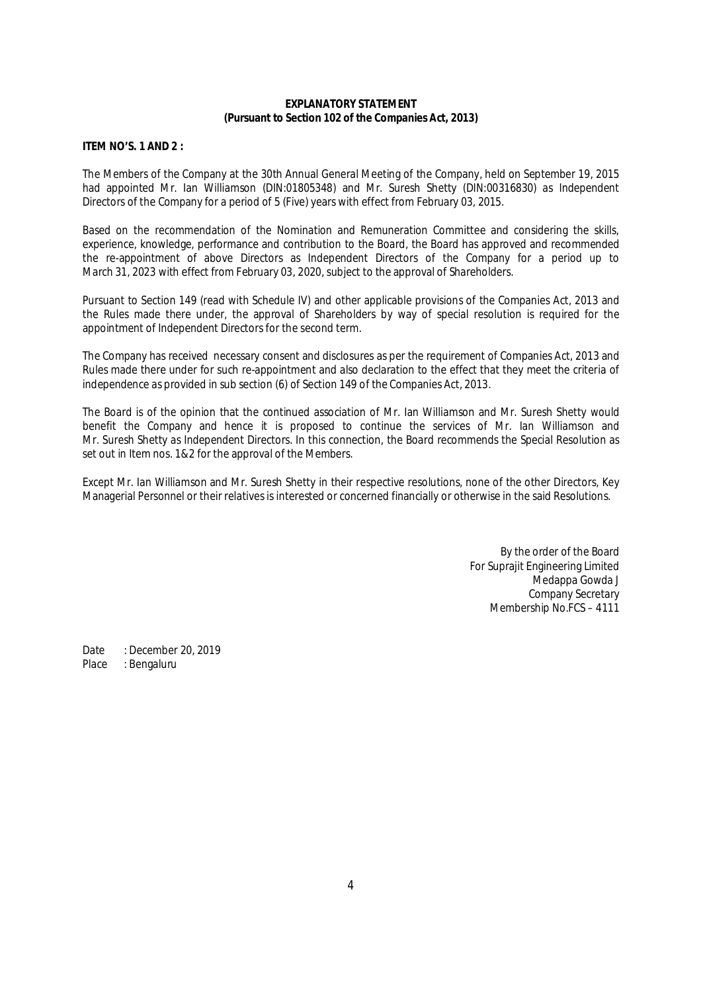### **EXPLANATORY STATEMENT (Pursuant to Section 102 of the Companies Act, 2013)**

### **ITEM NO'S. 1 AND 2 :**

The Members of the Company at the 30th Annual General Meeting of the Company, held on September 19, 2015 had appointed Mr. Ian Williamson (DIN:01805348) and Mr. Suresh Shetty (DIN:00316830) as Independent Directors of the Company for a period of 5 (Five) years with effect from February 03, 2015.

Based on the recommendation of the Nomination and Remuneration Committee and considering the skills, experience, knowledge, performance and contribution to the Board, the Board has approved and recommended the re-appointment of above Directors as Independent Directors of the Company for a period up to March 31, 2023 with effect from February 03, 2020, subject to the approval of Shareholders.

Pursuant to Section 149 (read with Schedule IV) and other applicable provisions of the Companies Act, 2013 and the Rules made there under, the approval of Shareholders by way of special resolution is required for the appointment of Independent Directors for the second term.

The Company has received necessary consent and disclosures as per the requirement of Companies Act, 2013 and Rules made there under for such re-appointment and also declaration to the effect that they meet the criteria of independence as provided in sub section (6) of Section 149 of the Companies Act, 2013.

The Board is of the opinion that the continued association of Mr. Ian Williamson and Mr. Suresh Shetty would benefit the Company and hence it is proposed to continue the services of Mr. Ian Williamson and Mr. Suresh Shetty as Independent Directors. In this connection, the Board recommends the Special Resolution as set out in Item nos. 1&2 for the approval of the Members.

Except Mr. Ian Williamson and Mr. Suresh Shetty in their respective resolutions, none of the other Directors, Key Managerial Personnel or their relatives is interested or concerned financially or otherwise in the said Resolutions.

> By the order of the Board For Suprajit Engineering Limited Medappa Gowda J Company Secretary Membership No.FCS – 4111

Date : December 20, 2019<br>Place : Bengaluru : Bengaluru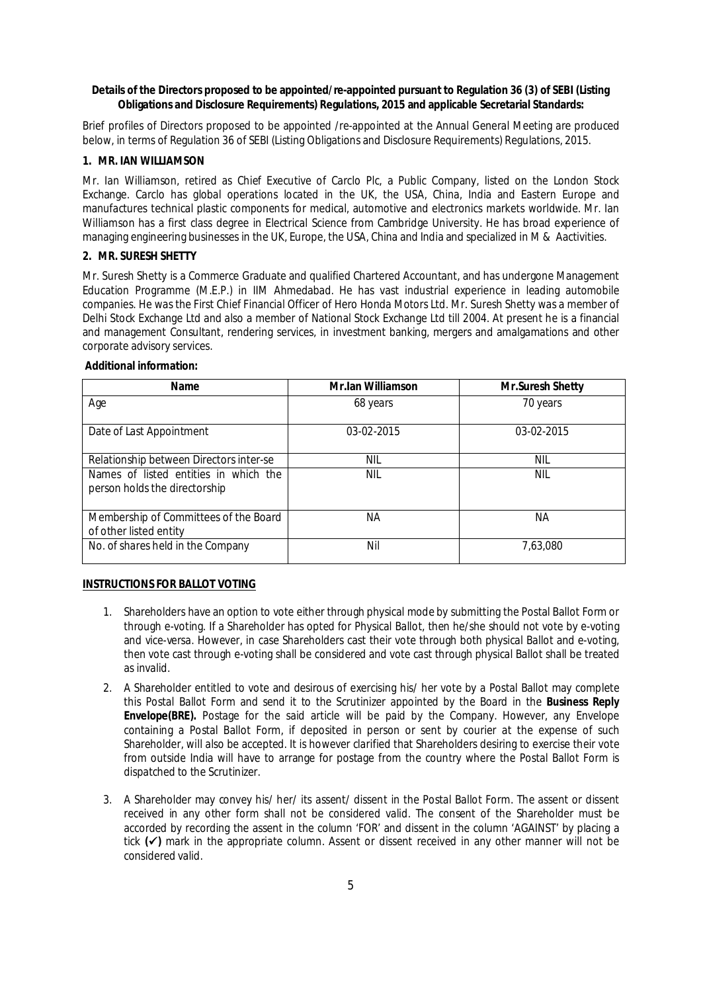### **Details of the Directors proposed to be appointed/re-appointed pursuant to Regulation 36 (3) of SEBI (Listing Obligations and Disclosure Requirements) Regulations, 2015 and applicable Secretarial Standards:**

Brief profiles of Directors proposed to be appointed /re-appointed at the Annual General Meeting are produced below, in terms of Regulation 36 of SEBI (Listing Obligations and Disclosure Requirements) Regulations, 2015.

# **1. MR. IAN WILLIAMSON**

Mr. Ian Williamson, retired as Chief Executive of Carclo Plc, a Public Company, listed on the London Stock Exchange. Carclo has global operations located in the UK, the USA, China, India and Eastern Europe and manufactures technical plastic components for medical, automotive and electronics markets worldwide. Mr. Ian Williamson has a first class degree in Electrical Science from Cambridge University. He has broad experience of managing engineering businesses in the UK, Europe, the USA, China and India and specialized in M & Aactivities.

# **2. MR. SURESH SHETTY**

Mr. Suresh Shetty is a Commerce Graduate and qualified Chartered Accountant, and has undergone Management Education Programme (M.E.P.) in IIM Ahmedabad. He has vast industrial experience in leading automobile companies. He was the First Chief Financial Officer of Hero Honda Motors Ltd. Mr. Suresh Shetty was a member of Delhi Stock Exchange Ltd and also a member of National Stock Exchange Ltd till 2004. At present he is a financial and management Consultant, rendering services, in investment banking, mergers and amalgamations and other corporate advisory services.

#### **Additional information:**

| <b>Name</b>                                                            | <b>Mr.Ian Williamson</b> | <b>Mr.Suresh Shetty</b> |
|------------------------------------------------------------------------|--------------------------|-------------------------|
| Age                                                                    | 68 years                 | 70 years                |
| Date of Last Appointment                                               | 03-02-2015               | 03-02-2015              |
| Relationship between Directors inter-se                                | nil                      | NIL                     |
| Names of listed entities in which the<br>person holds the directorship | nil                      | nil                     |
| Membership of Committees of the Board<br>of other listed entity        | ΝA                       | ΝA                      |
| No. of shares held in the Company                                      | Nil                      | 7,63,080                |

#### **INSTRUCTIONS FOR BALLOT VOTING**

- 1. Shareholders have an option to vote either through physical mode by submitting the Postal Ballot Form or through e-voting. If a Shareholder has opted for Physical Ballot, then he/she should not vote by e-voting and *vice-versa.* However, in case Shareholders cast their vote through both physical Ballot and e-voting, then vote cast through e-voting shall be considered and vote cast through physical Ballot shall be treated as invalid.
- 2. A Shareholder entitled to vote and desirous of exercising his/ her vote by a Postal Ballot may complete this Postal Ballot Form and send it to the Scrutinizer appointed by the Board in the **Business Reply Envelope(BRE).** Postage for the said article will be paid by the Company. However, any Envelope containing a Postal Ballot Form, if deposited in person or sent by courier at the expense of such Shareholder, will also be accepted. It is however clarified that Shareholders desiring to exercise their vote from outside India will have to arrange for postage from the country where the Postal Ballot Form is dispatched to the Scrutinizer.
- 3. A Shareholder may convey his/ her/ its assent/ dissent in the Postal Ballot Form. The assent or dissent received in any other form shall not be considered valid. The consent of the Shareholder must be accorded by recording the assent in the column 'FOR' and dissent in the column 'AGAINST' by placing a tick **()** mark in the appropriate column. Assent or dissent received in any other manner will not be considered valid.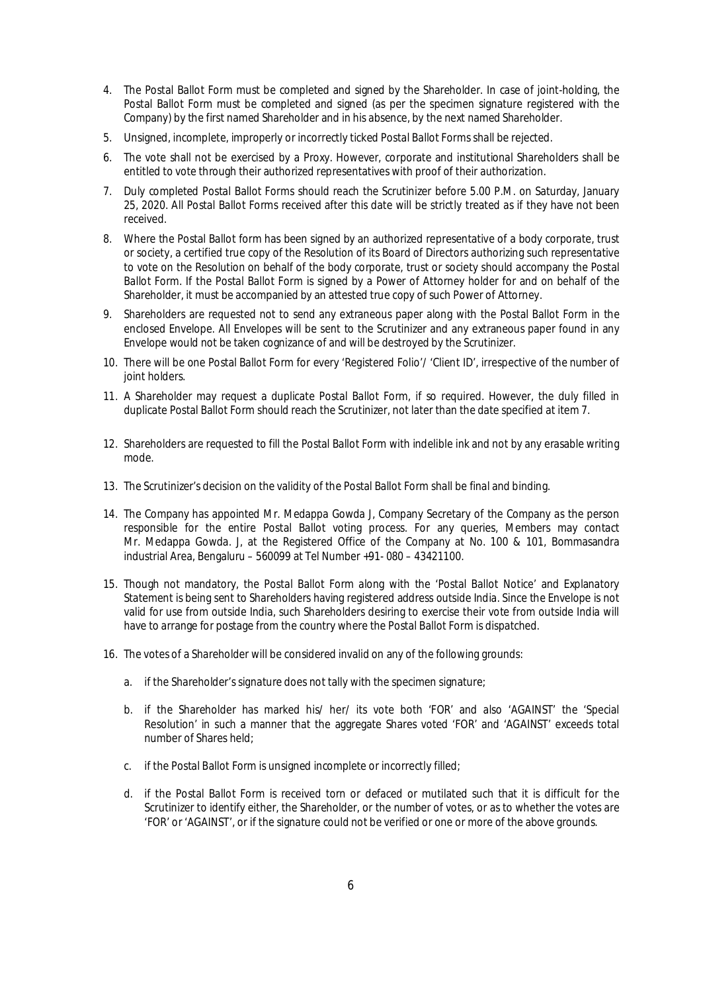- 4. The Postal Ballot Form must be completed and signed by the Shareholder. In case of joint-holding, the Postal Ballot Form must be completed and signed (as per the specimen signature registered with the Company) by the first named Shareholder and in his absence, by the next named Shareholder.
- 5. Unsigned, incomplete, improperly or incorrectly ticked Postal Ballot Forms shall be rejected.
- 6. The vote shall not be exercised by a Proxy. However, corporate and institutional Shareholders shall be entitled to vote through their authorized representatives with proof of their authorization.
- 7. Duly completed Postal Ballot Forms should reach the Scrutinizer before 5.00 P.M. on Saturday, January 25, 2020. All Postal Ballot Forms received after this date will be strictly treated as if they have not been received.
- 8. Where the Postal Ballot form has been signed by an authorized representative of a body corporate, trust or society, a certified true copy of the Resolution of its Board of Directors authorizing such representative to vote on the Resolution on behalf of the body corporate, trust or society should accompany the Postal Ballot Form. If the Postal Ballot Form is signed by a Power of Attorney holder for and on behalf of the Shareholder, it must be accompanied by an attested true copy of such Power of Attorney.
- 9. Shareholders are requested not to send any extraneous paper along with the Postal Ballot Form in the enclosed Envelope. All Envelopes will be sent to the Scrutinizer and any extraneous paper found in any Envelope would not be taken cognizance of and will be destroyed by the Scrutinizer.
- 10. There will be one Postal Ballot Form for every 'Registered Folio'/ 'Client ID', irrespective of the number of joint holders.
- 11. A Shareholder may request a duplicate Postal Ballot Form, if so required. However, the duly filled in duplicate Postal Ballot Form should reach the Scrutinizer, not later than the date specified at item 7.
- 12. Shareholders are requested to fill the Postal Ballot Form with indelible ink and not by any erasable writing mode.
- 13. The Scrutinizer's decision on the validity of the Postal Ballot Form shall be final and binding.
- 14. The Company has appointed Mr. Medappa Gowda J, Company Secretary of the Company as the person responsible for the entire Postal Ballot voting process. For any queries, Members may contact Mr. Medappa Gowda. J, at the Registered Office of the Company at No. 100 & 101, Bommasandra industrial Area, Bengaluru – 560099 at Tel Number +91- 080 – 43421100.
- 15. Though not mandatory, the Postal Ballot Form along with the 'Postal Ballot Notice' and Explanatory Statement is being sent to Shareholders having registered address outside India. Since the Envelope is not valid for use from outside India, such Shareholders desiring to exercise their vote from outside India will have to arrange for postage from the country where the Postal Ballot Form is dispatched.
- 16. The votes of a Shareholder will be considered invalid on any of the following grounds:
	- a. if the Shareholder's signature does not tally with the specimen signature;
	- b. if the Shareholder has marked his/ her/ its vote both 'FOR' and also 'AGAINST' the 'Special Resolution' in such a manner that the aggregate Shares voted 'FOR' and 'AGAINST' exceeds total number of Shares held;
	- c. if the Postal Ballot Form is unsigned incomplete or incorrectly filled;
	- d. if the Postal Ballot Form is received torn or defaced or mutilated such that it is difficult for the Scrutinizer to identify either, the Shareholder, or the number of votes, or as to whether the votes are 'FOR' or 'AGAINST', or if the signature could not be verified or one or more of the above grounds.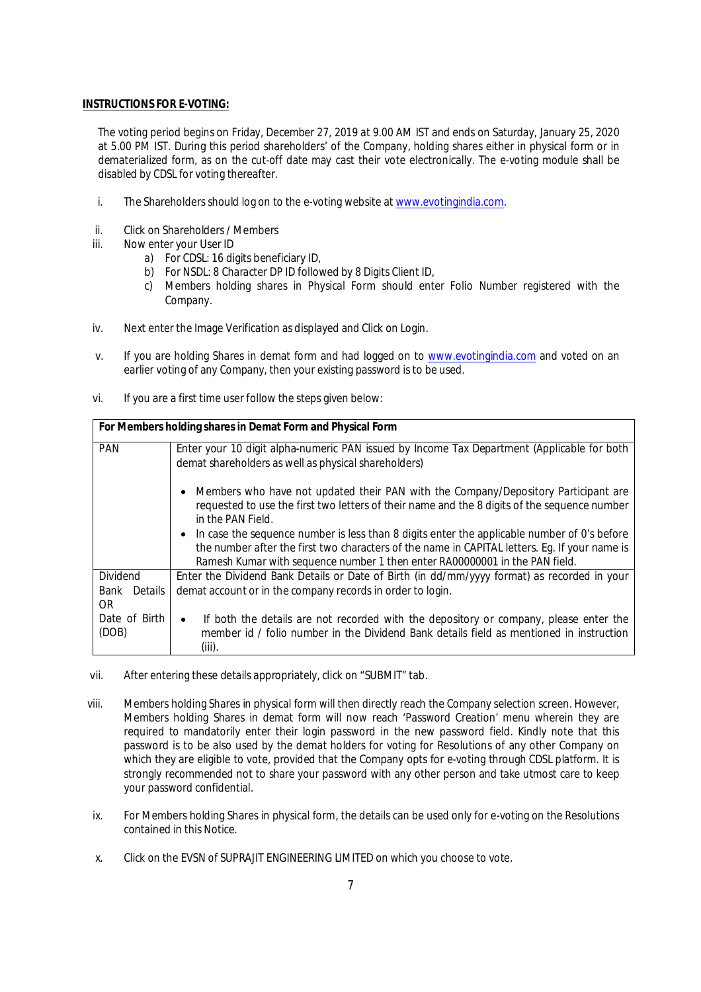### **INSTRUCTIONS FOR E-VOTING:**

The voting period begins on Friday, December 27, 2019 at 9.00 AM IST and ends on Saturday, January 25, 2020 at 5.00 PM IST. During this period shareholders' of the Company, holding shares either in physical form or in dematerialized form, as on the cut-off date may cast their vote electronically. The e-voting module shall be disabled by CDSL for voting thereafter.

- i. The Shareholders should log on to the e-voting website at www.evotingindia.com.
- ii. Click on Shareholders / Members
- iii. Now enter your User ID
	- a) For CDSL: 16 digits beneficiary ID,
	- b) For NSDL: 8 Character DP ID followed by 8 Digits Client ID,
	- c) Members holding shares in Physical Form should enter Folio Number registered with the Company.
- iv. Next enter the Image Verification as displayed and Click on Login.
- v. If you are holding Shares in demat form and had logged on to www.evotingindia.com and voted on an earlier voting of any Company, then your existing password is to be used.
- vi. If you are a first time user follow the steps given below:

| For Members holding shares in Demat Form and Physical Form |                                                                                                                   |  |  |  |  |
|------------------------------------------------------------|-------------------------------------------------------------------------------------------------------------------|--|--|--|--|
| <b>PAN</b>                                                 | Enter your 10 digit alpha-numeric PAN issued by Income Tax Department (Applicable for both                        |  |  |  |  |
|                                                            | demat shareholders as well as physical shareholders)                                                              |  |  |  |  |
|                                                            | Members who have not updated their PAN with the Company/Depository Participant are<br>$\bullet$                   |  |  |  |  |
|                                                            | requested to use the first two letters of their name and the 8 digits of the sequence number<br>in the PAN Field. |  |  |  |  |
|                                                            | • In case the sequence number is less than 8 digits enter the applicable number of 0's before                     |  |  |  |  |
|                                                            | the number after the first two characters of the name in CAPITAL letters. Eq. If your name is                     |  |  |  |  |
|                                                            | Ramesh Kumar with sequence number 1 then enter RA00000001 in the PAN field.                                       |  |  |  |  |
| Dividend                                                   | Enter the Dividend Bank Details or Date of Birth (in dd/mm/yyyy format) as recorded in your                       |  |  |  |  |
| Details<br>Bank                                            | demat account or in the company records in order to login.                                                        |  |  |  |  |
| OR.                                                        |                                                                                                                   |  |  |  |  |
| Date of Birth                                              | If both the details are not recorded with the depository or company, please enter the<br>$\bullet$                |  |  |  |  |
| (DOB)                                                      | member id / folio number in the Dividend Bank details field as mentioned in instruction                           |  |  |  |  |
|                                                            | $(iii)$ .                                                                                                         |  |  |  |  |

- vii. After entering these details appropriately, click on "SUBMIT" tab.
- viii. Members holding Shares in physical form will then directly reach the Company selection screen. However, Members holding Shares in demat form will now reach 'Password Creation' menu wherein they are required to mandatorily enter their login password in the new password field. Kindly note that this password is to be also used by the demat holders for voting for Resolutions of any other Company on which they are eligible to vote, provided that the Company opts for e-voting through CDSL platform. It is strongly recommended not to share your password with any other person and take utmost care to keep your password confidential.
- ix. For Members holding Shares in physical form, the details can be used only for e-voting on the Resolutions contained in this Notice.
- x. Click on the EVSN of SUPRAJIT ENGINEERING LIMITED on which you choose to vote.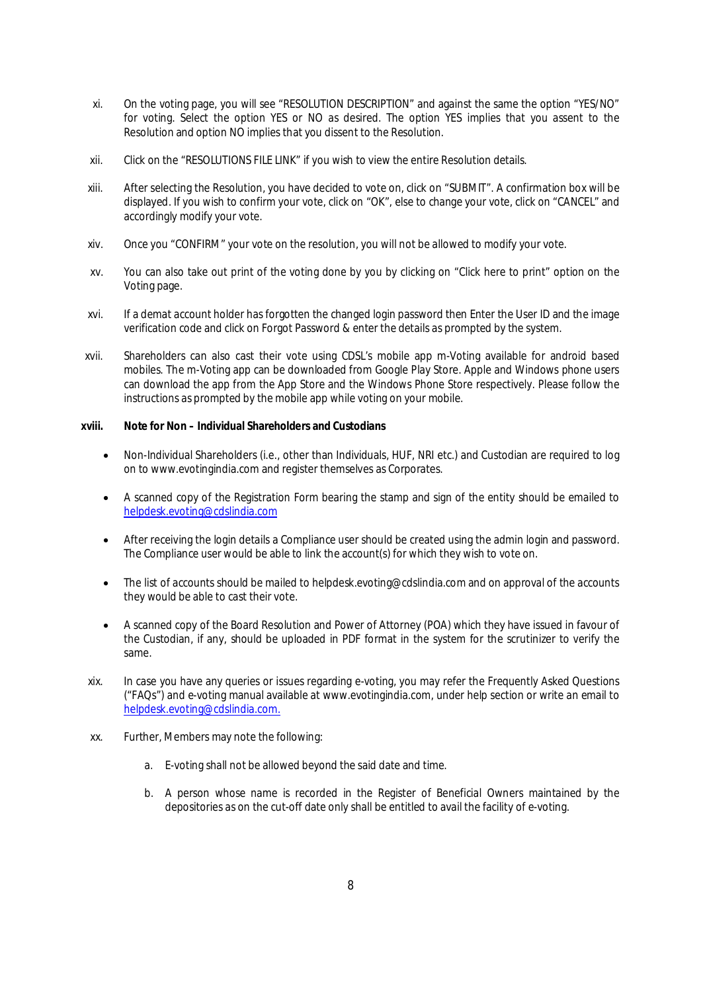- xi. On the voting page, you will see "RESOLUTION DESCRIPTION" and against the same the option "YES/NO" for voting. Select the option YES or NO as desired. The option YES implies that you assent to the Resolution and option NO implies that you dissent to the Resolution.
- xii. Click on the "RESOLUTIONS FILE LINK" if you wish to view the entire Resolution details.
- xiii. After selecting the Resolution, you have decided to vote on, click on "SUBMIT". A confirmation box will be displayed. If you wish to confirm your vote, click on "OK", else to change your vote, click on "CANCEL" and accordingly modify your vote.
- xiv. Once you "CONFIRM" your vote on the resolution, you will not be allowed to modify your vote.
- xv. You can also take out print of the voting done by you by clicking on "Click here to print" option on the Voting page.
- xvi. If a demat account holder has forgotten the changed login password then Enter the User ID and the image verification code and click on Forgot Password & enter the details as prompted by the system.
- xvii. Shareholders can also cast their vote using CDSL's mobile app m-Voting available for android based mobiles. The m-Voting app can be downloaded from Google Play Store. Apple and Windows phone users can download the app from the App Store and the Windows Phone Store respectively. Please follow the instructions as prompted by the mobile app while voting on your mobile.

### **xviii. Note for Non – Individual Shareholders and Custodians**

- Non-Individual Shareholders (i.e., other than Individuals, HUF, NRI etc.) and Custodian are required to log on to www.evotingindia.com and register themselves as Corporates.
- A scanned copy of the Registration Form bearing the stamp and sign of the entity should be emailed to helpdesk.evoting@cdslindia.com
- After receiving the login details a Compliance user should be created using the admin login and password. The Compliance user would be able to link the account(s) for which they wish to vote on.
- The list of accounts should be mailed to helpdesk.evoting@cdslindia.com and on approval of the accounts they would be able to cast their vote.
- A scanned copy of the Board Resolution and Power of Attorney (POA) which they have issued in favour of the Custodian, if any, should be uploaded in PDF format in the system for the scrutinizer to verify the same.
- xix. In case you have any queries or issues regarding e-voting, you may refer the Frequently Asked Questions ("FAQs") and e-voting manual available at www.evotingindia.com, under help section or write an email to helpdesk.evoting@cdslindia.com.
- xx. Further, Members may note the following:
	- a. E-voting shall not be allowed beyond the said date and time.
	- b. A person whose name is recorded in the Register of Beneficial Owners maintained by the depositories as on the cut-off date only shall be entitled to avail the facility of e-voting.